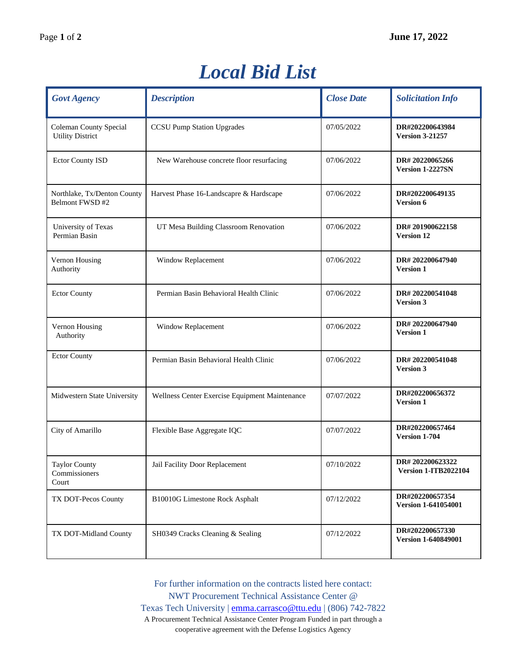## *Local Bid List*

| <b>Govt Agency</b>                                       | <b>Description</b>                             | <b>Close Date</b> | <b>Solicitation Info</b>                       |
|----------------------------------------------------------|------------------------------------------------|-------------------|------------------------------------------------|
| <b>Coleman County Special</b><br><b>Utility District</b> | <b>CCSU Pump Station Upgrades</b>              | 07/05/2022        | DR#202200643984<br><b>Version 3-21257</b>      |
| <b>Ector County ISD</b>                                  | New Warehouse concrete floor resurfacing       | 07/06/2022        | DR#20220065266<br>Version 1-2227SN             |
| Northlake, Tx/Denton County<br>Belmont FWSD #2           | Harvest Phase 16-Landscapre & Hardscape        | 07/06/2022        | DR#202200649135<br><b>Version 6</b>            |
| University of Texas<br>Permian Basin                     | UT Mesa Building Classroom Renovation          | 07/06/2022        | DR#201900622158<br><b>Version 12</b>           |
| Vernon Housing<br>Authority                              | Window Replacement                             | 07/06/2022        | DR#202200647940<br><b>Version 1</b>            |
| <b>Ector County</b>                                      | Permian Basin Behavioral Health Clinic         | 07/06/2022        | DR#202200541048<br><b>Version 3</b>            |
| Vernon Housing<br>Authority                              | Window Replacement                             | 07/06/2022        | DR#202200647940<br><b>Version 1</b>            |
| <b>Ector County</b>                                      | Permian Basin Behavioral Health Clinic         | 07/06/2022        | DR#202200541048<br><b>Version 3</b>            |
| Midwestern State University                              | Wellness Center Exercise Equipment Maintenance | 07/07/2022        | DR#202200656372<br><b>Version 1</b>            |
| City of Amarillo                                         | Flexible Base Aggregate IQC                    | 07/07/2022        | DR#202200657464<br>Version 1-704               |
| <b>Taylor County</b><br>Commissioners<br>Court           | Jail Facility Door Replacement                 | 07/10/2022        | DR#202200623322<br><b>Version 1-ITB2022104</b> |
| TX DOT-Pecos County                                      | B10010G Limestone Rock Asphalt                 | 07/12/2022        | DR#202200657354<br><b>Version 1-641054001</b>  |
| TX DOT-Midland County                                    | SH0349 Cracks Cleaning & Sealing               | 07/12/2022        | DR#202200657330<br>Version 1-640849001         |

For further information on the contracts listed here contact: NWT Procurement Technical Assistance Center @ Texas Tech University | [emma.carrasco@ttu.edu](mailto:emma.carrasco@ttu.edu) | (806) 742-7822 A Procurement Technical Assistance Center Program Funded in part through a cooperative agreement with the Defense Logistics Agency